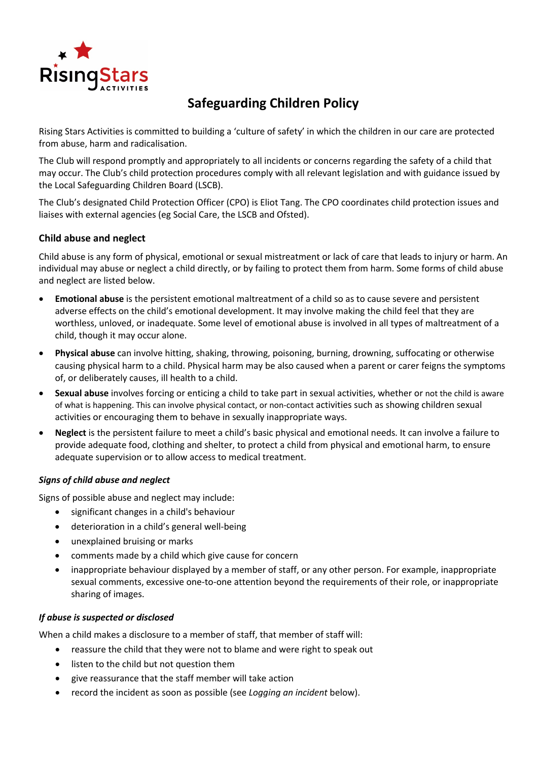

# **Safeguarding Children Policy**

Rising Stars Activities is committed to building a 'culture of safety' in which the children in our care are protected from abuse, harm and radicalisation.

The Club will respond promptly and appropriately to all incidents or concerns regarding the safety of a child that may occur. The Club's child protection procedures comply with all relevant legislation and with guidance issued by the Local Safeguarding Children Board (LSCB).

The Club's designated Child Protection Officer (CPO) is Eliot Tang. The CPO coordinates child protection issues and liaises with external agencies (eg Social Care, the LSCB and Ofsted).

#### **Child abuse and neglect**

Child abuse is any form of physical, emotional or sexual mistreatment or lack of care that leads to injury or harm. An individual may abuse or neglect a child directly, or by failing to protect them from harm. Some forms of child abuse and neglect are listed below.

- **Emotional abuse** is the persistent emotional maltreatment of a child so as to cause severe and persistent adverse effects on the child's emotional development. It may involve making the child feel that they are worthless, unloved, or inadequate. Some level of emotional abuse is involved in all types of maltreatment of a child, though it may occur alone.
- **Physical abuse** can involve hitting, shaking, throwing, poisoning, burning, drowning, suffocating or otherwise causing physical harm to a child. Physical harm may be also caused when a parent or carer feigns the symptoms of, or deliberately causes, ill health to a child.
- **Sexual abuse** involves forcing or enticing a child to take part in sexual activities, whether or not the child is aware of what is happening. This can involve physical contact, or non-contact activities such as showing children sexual activities or encouraging them to behave in sexually inappropriate ways.
- **Neglect** is the persistent failure to meet a child's basic physical and emotional needs. It can involve a failure to provide adequate food, clothing and shelter, to protect a child from physical and emotional harm, to ensure adequate supervision or to allow access to medical treatment.

#### *Signs of child abuse and neglect*

Signs of possible abuse and neglect may include:

- significant changes in a child's behaviour
- deterioration in a child's general well-being
- unexplained bruising or marks
- comments made by a child which give cause for concern
- inappropriate behaviour displayed by a member of staff, or any other person. For example, inappropriate sexual comments, excessive one-to-one attention beyond the requirements of their role, or inappropriate sharing of images.

#### *If abuse is suspected or disclosed*

When a child makes a disclosure to a member of staff, that member of staff will:

- reassure the child that they were not to blame and were right to speak out
- listen to the child but not question them
- give reassurance that the staff member will take action
- record the incident as soon as possible (see *Logging an incident* below).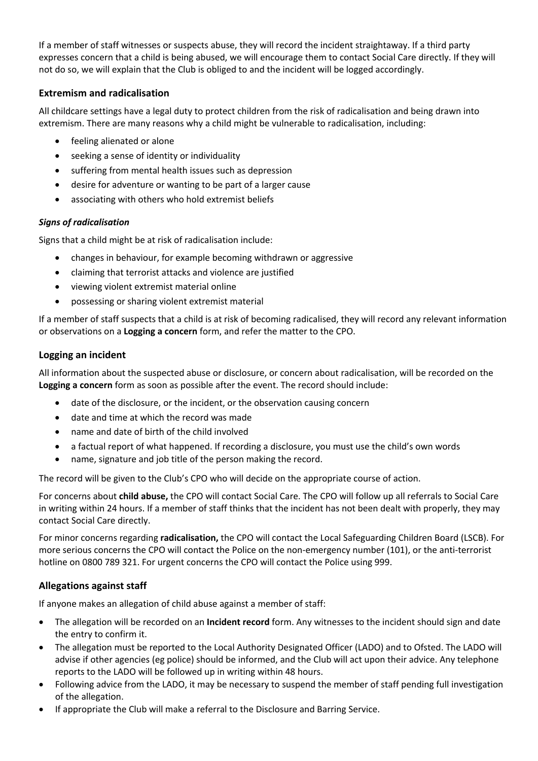If a member of staff witnesses or suspects abuse, they will record the incident straightaway. If a third party expresses concern that a child is being abused, we will encourage them to contact Social Care directly. If they will not do so, we will explain that the Club is obliged to and the incident will be logged accordingly.

# **Extremism and radicalisation**

All childcare settings have a legal duty to protect children from the risk of radicalisation and being drawn into extremism. There are many reasons why a child might be vulnerable to radicalisation, including:

- feeling alienated or alone
- seeking a sense of identity or individuality
- suffering from mental health issues such as depression
- desire for adventure or wanting to be part of a larger cause
- associating with others who hold extremist beliefs

# *Signs of radicalisation*

Signs that a child might be at risk of radicalisation include:

- changes in behaviour, for example becoming withdrawn or aggressive
- claiming that terrorist attacks and violence are justified
- viewing violent extremist material online
- possessing or sharing violent extremist material

If a member of staff suspects that a child is at risk of becoming radicalised, they will record any relevant information or observations on a **Logging a concern** form, and refer the matter to the CPO.

# **Logging an incident**

All information about the suspected abuse or disclosure, or concern about radicalisation, will be recorded on the **Logging a concern** form as soon as possible after the event. The record should include:

- date of the disclosure, or the incident, or the observation causing concern
- date and time at which the record was made
- name and date of birth of the child involved
- a factual report of what happened. If recording a disclosure, you must use the child's own words
- name, signature and job title of the person making the record.

The record will be given to the Club's CPO who will decide on the appropriate course of action.

For concerns about **child abuse,** the CPO will contact Social Care. The CPO will follow up all referrals to Social Care in writing within 24 hours. If a member of staff thinks that the incident has not been dealt with properly, they may contact Social Care directly.

For minor concerns regarding **radicalisation,** the CPO will contact the Local Safeguarding Children Board (LSCB). For more serious concerns the CPO will contact the Police on the non-emergency number (101), or the anti-terrorist hotline on 0800 789 321. For urgent concerns the CPO will contact the Police using 999.

# **Allegations against staff**

If anyone makes an allegation of child abuse against a member of staff:

- The allegation will be recorded on an **Incident record** form. Any witnesses to the incident should sign and date the entry to confirm it.
- The allegation must be reported to the Local Authority Designated Officer (LADO) and to Ofsted. The LADO will advise if other agencies (eg police) should be informed, and the Club will act upon their advice. Any telephone reports to the LADO will be followed up in writing within 48 hours.
- Following advice from the LADO, it may be necessary to suspend the member of staff pending full investigation of the allegation.
- If appropriate the Club will make a referral to the Disclosure and Barring Service.